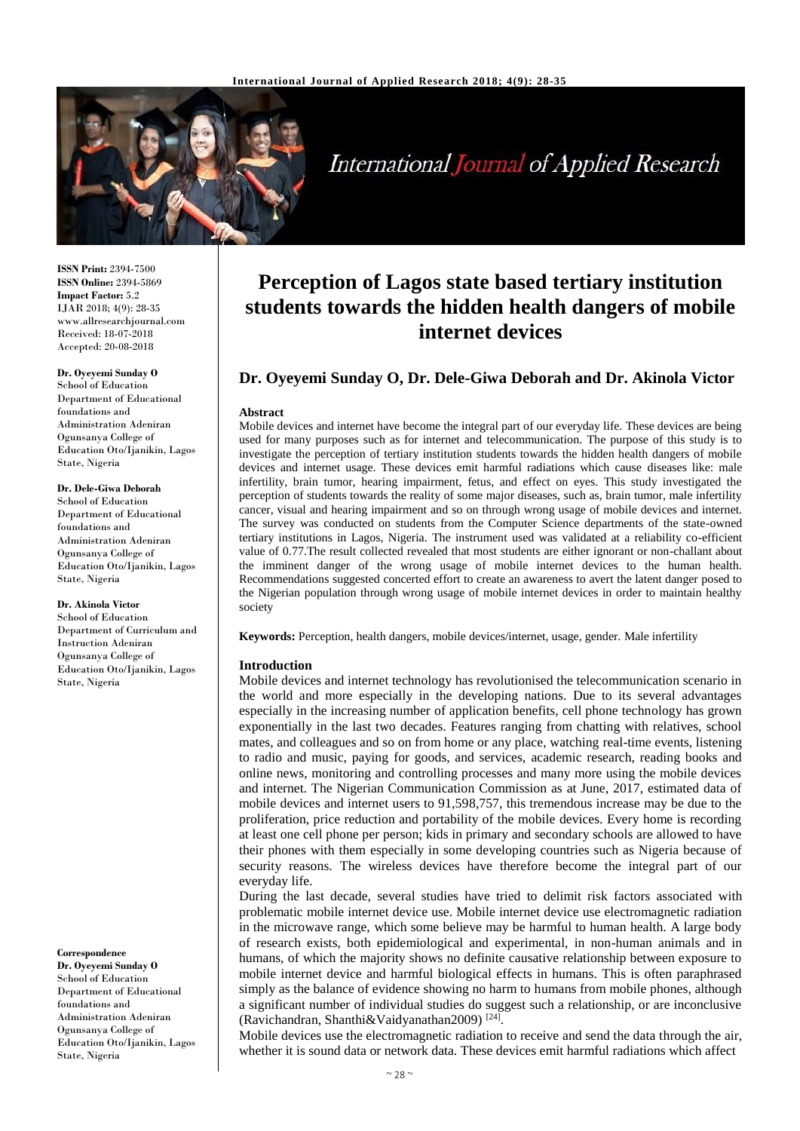

**International Journal of Applied Research** 

**ISSN Print:** 2394-7500 **ISSN Online:** 2394-5869 **Impact Factor:** 5.2 IJAR 2018; 4(9): 28-35 www.allresearchjournal.com Received: 18-07-2018 Accepted: 20-08-2018

#### **Dr. Oyeyemi Sunday O**

School of Education Department of Educational foundations and Administration Adeniran Ogunsanya College of Education Oto/Ijanikin, Lagos State, Nigeria

#### **Dr. Dele-Giwa Deborah**

School of Education Department of Educational foundations and Administration Adeniran Ogunsanya College of Education Oto/Ijanikin, Lagos State, Nigeria

**Dr. Akinola Victor** School of Education

Department of Curriculum and Instruction Adeniran Ogunsanya College of Education Oto/Ijanikin, Lagos State, Nigeria

#### **Correspondence**

**Dr. Oyeyemi Sunday O** School of Education Department of Educational foundations and Administration Adeniran Ogunsanya College of Education Oto/Ijanikin, Lagos State, Nigeria

# **Perception of Lagos state based tertiary institution students towards the hidden health dangers of mobile internet devices**

# **Dr. Oyeyemi Sunday O, Dr. Dele-Giwa Deborah and Dr. Akinola Victor**

#### **Abstract**

Mobile devices and internet have become the integral part of our everyday life. These devices are being used for many purposes such as for internet and telecommunication. The purpose of this study is to investigate the perception of tertiary institution students towards the hidden health dangers of mobile devices and internet usage. These devices emit harmful radiations which cause diseases like: male infertility, brain tumor, hearing impairment, fetus, and effect on eyes. This study investigated the perception of students towards the reality of some major diseases, such as, brain tumor, male infertility cancer, visual and hearing impairment and so on through wrong usage of mobile devices and internet. The survey was conducted on students from the Computer Science departments of the state-owned tertiary institutions in Lagos, Nigeria. The instrument used was validated at a reliability co-efficient value of 0.77.The result collected revealed that most students are either ignorant or non-challant about the imminent danger of the wrong usage of mobile internet devices to the human health. Recommendations suggested concerted effort to create an awareness to avert the latent danger posed to the Nigerian population through wrong usage of mobile internet devices in order to maintain healthy society

**Keywords:** Perception, health dangers, mobile devices/internet, usage, gender. Male infertility

### **Introduction**

Mobile devices and internet technology has revolutionised the telecommunication scenario in the world and more especially in the developing nations. Due to its several advantages especially in the increasing number of application benefits, cell phone technology has grown exponentially in the last two decades. Features ranging from chatting with relatives, school mates, and colleagues and so on from home or any place, watching real-time events, listening to radio and music, paying for goods, and services, academic research, reading books and online news, monitoring and controlling processes and many more using the mobile devices and internet. The Nigerian Communication Commission as at June, 2017, estimated data of mobile devices and internet users to 91,598,757, this tremendous increase may be due to the proliferation, price reduction and portability of the mobile devices. Every home is recording at least one cell phone per person; kids in primary and secondary schools are allowed to have their phones with them especially in some developing countries such as Nigeria because of security reasons. The wireless devices have therefore become the integral part of our everyday life.

During the last decade, several studies have tried to delimit risk factors associated with problematic mobile internet device use. Mobile internet device use electromagnetic radiation in the microwave range, which some believe may be harmful to human health. A large body of research exists, both epidemiological and experimental, in non-human animals and in humans, of which the majority shows no definite causative relationship between exposure to mobile internet device and harmful biological effects in humans. This is often paraphrased simply as the balance of evidence showing no harm to humans from mobile phones, although a significant number of individual studies do suggest such a relationship, or are inconclusive (Ravichandran, Shanthi&Vaidyanathan2009) [24] .

Mobile devices use the electromagnetic radiation to receive and send the data through the air, whether it is sound data or network data. These devices emit harmful radiations which affect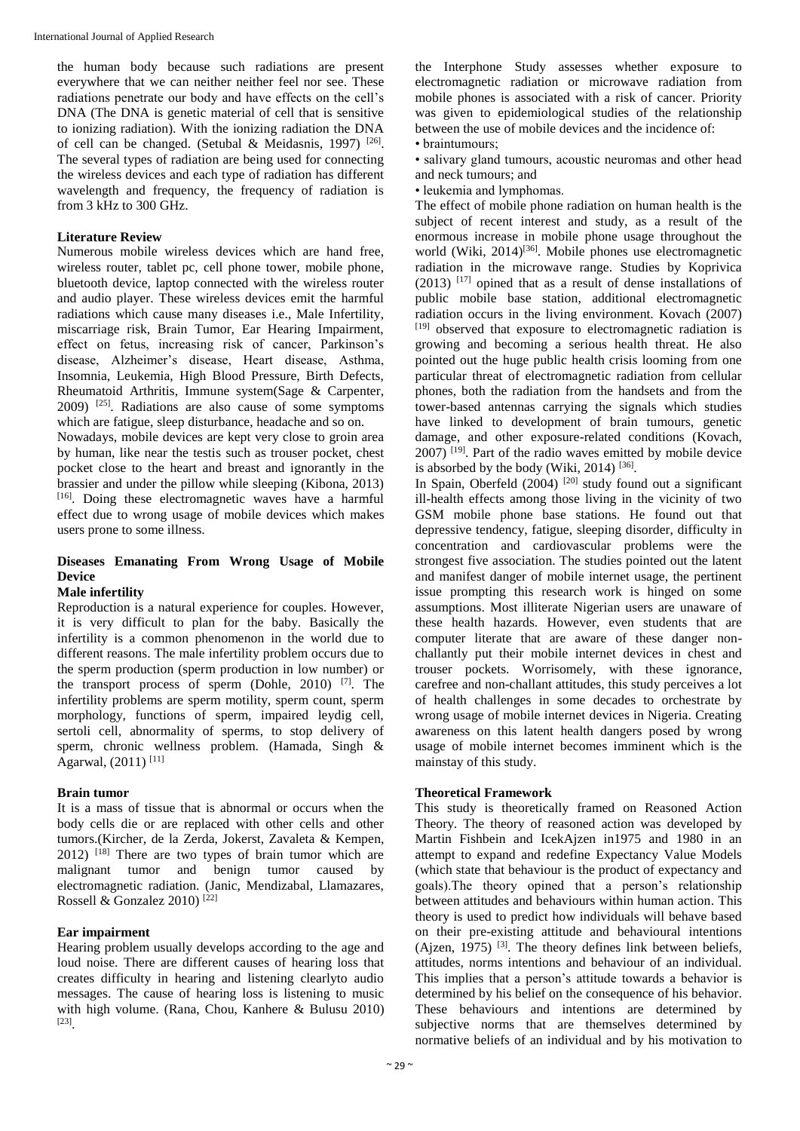the human body because such radiations are present everywhere that we can neither neither feel nor see. These radiations penetrate our body and have effects on the cell's DNA (The DNA is genetic material of cell that is sensitive to ionizing radiation). With the ionizing radiation the DNA of cell can be changed. (Setubal & Meidasnis, 1997)  $[26]$ . The several types of radiation are being used for connecting the wireless devices and each type of radiation has different wavelength and frequency, the frequency of radiation is from 3 kHz to 300 GHz.

#### **Literature Review**

Numerous mobile wireless devices which are hand free, wireless router, tablet pc, cell phone tower, mobile phone, bluetooth device, laptop connected with the wireless router and audio player. These wireless devices emit the harmful radiations which cause many diseases i.e., Male Infertility, miscarriage risk, Brain Tumor, Ear Hearing Impairment, effect on fetus, increasing risk of cancer, Parkinson's disease, Alzheimer's disease, Heart disease, Asthma, Insomnia, Leukemia, High Blood Pressure, Birth Defects, Rheumatoid Arthritis, Immune system(Sage & Carpenter,  $2009$ ) <sup>[25]</sup>. Radiations are also cause of some symptoms which are fatigue, sleep disturbance, headache and so on.

Nowadays, mobile devices are kept very close to groin area by human, like near the testis such as trouser pocket, chest pocket close to the heart and breast and ignorantly in the brassier and under the pillow while sleeping (Kibona, 2013) [16]. Doing these electromagnetic waves have a harmful effect due to wrong usage of mobile devices which makes users prone to some illness.

# **Diseases Emanating From Wrong Usage of Mobile Device**

## **Male infertility**

Reproduction is a natural experience for couples. However, it is very difficult to plan for the baby. Basically the infertility is a common phenomenon in the world due to different reasons. The male infertility problem occurs due to the sperm production (sperm production in low number) or the transport process of sperm (Dohle, 2010) [7] . The infertility problems are sperm motility, sperm count, sperm morphology, functions of sperm, impaired leydig cell, sertoli cell, abnormality of sperms, to stop delivery of sperm, chronic wellness problem. (Hamada, Singh & Agarwal, (2011)<sup>[11]</sup>

#### **Brain tumor**

It is a mass of tissue that is abnormal or occurs when the body cells die or are replaced with other cells and other tumors.(Kircher, de la Zerda, Jokerst, Zavaleta & Kempen,  $2012$ ) <sup>[18]</sup> There are two types of brain tumor which are malignant tumor and benign tumor caused by electromagnetic radiation. (Janic, Mendizabal, Llamazares, Rossell & Gonzalez 2010)<sup>[22]</sup>

## **Ear impairment**

Hearing problem usually develops according to the age and loud noise. There are different causes of hearing loss that creates difficulty in hearing and listening clearlyto audio messages. The cause of hearing loss is listening to music with high volume. (Rana, Chou, Kanhere & Bulusu 2010) [23] .

the Interphone Study assesses whether exposure to electromagnetic radiation or microwave radiation from mobile phones is associated with a risk of cancer. Priority was given to epidemiological studies of the relationship between the use of mobile devices and the incidence of:

• braintumours;

• salivary gland tumours, acoustic neuromas and other head and neck tumours; and

• leukemia and lymphomas.

The effect of mobile phone radiation on human health is the subject of recent interest and study, as a result of the enormous increase in mobile phone usage throughout the world (Wiki, 2014)<sup>[36]</sup>. Mobile phones use electromagnetic radiation in the microwave range. Studies by Koprivica  $(2013)$  [17] opined that as a result of dense installations of public mobile base station, additional electromagnetic radiation occurs in the living environment. Kovach (2007) [19] observed that exposure to electromagnetic radiation is growing and becoming a serious health threat. He also pointed out the huge public health crisis looming from one particular threat of electromagnetic radiation from cellular phones, both the radiation from the handsets and from the tower-based antennas carrying the signals which studies have linked to development of brain tumours, genetic damage, and other exposure-related conditions (Kovach,  $2007$ )  $^{[19]}$ . Part of the radio waves emitted by mobile device is absorbed by the body (Wiki, 2014)<sup>[36]</sup>.

In Spain, Oberfeld  $(2004)$ <sup>[20]</sup> study found out a significant ill-health effects among those living in the vicinity of two GSM mobile phone base stations. He found out that depressive tendency, fatigue, sleeping disorder, difficulty in concentration and cardiovascular problems were the strongest five association. The studies pointed out the latent and manifest danger of mobile internet usage, the pertinent issue prompting this research work is hinged on some assumptions. Most illiterate Nigerian users are unaware of these health hazards. However, even students that are computer literate that are aware of these danger nonchallantly put their mobile internet devices in chest and trouser pockets. Worrisomely, with these ignorance, carefree and non-challant attitudes, this study perceives a lot of health challenges in some decades to orchestrate by wrong usage of mobile internet devices in Nigeria. Creating awareness on this latent health dangers posed by wrong usage of mobile internet becomes imminent which is the mainstay of this study.

## **Theoretical Framework**

This study is theoretically framed on Reasoned Action Theory. The theory of reasoned action was developed by Martin Fishbein and IcekAjzen in1975 and 1980 in an attempt to expand and redefine Expectancy Value Models (which state that behaviour is the product of expectancy and goals).The theory opined that a person's relationship between attitudes and behaviours within human action. This theory is used to predict how individuals will behave based on their pre-existing attitude and behavioural intentions  $(Ajzen, 1975)$  <sup>[3]</sup>. The theory defines link between beliefs, attitudes, norms intentions and behaviour of an individual. This implies that a person's attitude towards a behavior is determined by his belief on the consequence of his behavior. These behaviours and intentions are determined by subjective norms that are themselves determined by normative beliefs of an individual and by his motivation to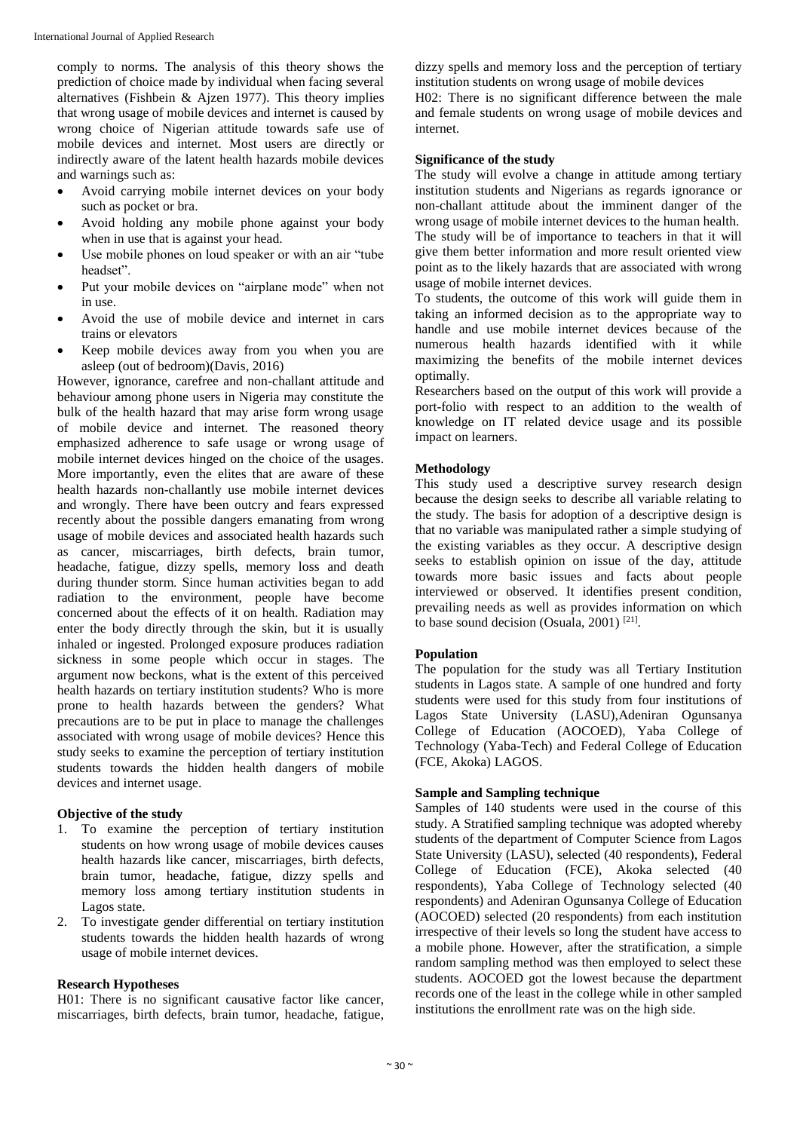comply to norms. The analysis of this theory shows the prediction of choice made by individual when facing several alternatives (Fishbein & Ajzen 1977). This theory implies that wrong usage of mobile devices and internet is caused by wrong choice of Nigerian attitude towards safe use of mobile devices and internet. Most users are directly or indirectly aware of the latent health hazards mobile devices and warnings such as:

- Avoid carrying mobile internet devices on your body such as pocket or bra.
- Avoid holding any mobile phone against your body when in use that is against your head.
- Use mobile phones on loud speaker or with an air "tube headset".
- Put your mobile devices on "airplane mode" when not in use.
- Avoid the use of mobile device and internet in cars trains or elevators
- Keep mobile devices away from you when you are asleep (out of bedroom)(Davis, 2016)

However, ignorance, carefree and non-challant attitude and behaviour among phone users in Nigeria may constitute the bulk of the health hazard that may arise form wrong usage of mobile device and internet. The reasoned theory emphasized adherence to safe usage or wrong usage of mobile internet devices hinged on the choice of the usages. More importantly, even the elites that are aware of these health hazards non-challantly use mobile internet devices and wrongly. There have been outcry and fears expressed recently about the possible dangers emanating from wrong usage of mobile devices and associated health hazards such as cancer, miscarriages, birth defects, brain tumor, headache, fatigue, dizzy spells, memory loss and death during thunder storm. Since human activities began to add radiation to the environment, people have become concerned about the effects of it on health. Radiation may enter the body directly through the skin, but it is usually inhaled or ingested. Prolonged exposure produces radiation sickness in some people which occur in stages. The argument now beckons, what is the extent of this perceived health hazards on tertiary institution students? Who is more prone to health hazards between the genders? What precautions are to be put in place to manage the challenges associated with wrong usage of mobile devices? Hence this study seeks to examine the perception of tertiary institution students towards the hidden health dangers of mobile devices and internet usage.

## **Objective of the study**

- 1. To examine the perception of tertiary institution students on how wrong usage of mobile devices causes health hazards like cancer, miscarriages, birth defects, brain tumor, headache, fatigue, dizzy spells and memory loss among tertiary institution students in Lagos state.
- 2. To investigate gender differential on tertiary institution students towards the hidden health hazards of wrong usage of mobile internet devices.

## **Research Hypotheses**

H01: There is no significant causative factor like cancer, miscarriages, birth defects, brain tumor, headache, fatigue, dizzy spells and memory loss and the perception of tertiary institution students on wrong usage of mobile devices H02: There is no significant difference between the male and female students on wrong usage of mobile devices and internet.

## **Significance of the study**

The study will evolve a change in attitude among tertiary institution students and Nigerians as regards ignorance or non-challant attitude about the imminent danger of the wrong usage of mobile internet devices to the human health. The study will be of importance to teachers in that it will give them better information and more result oriented view point as to the likely hazards that are associated with wrong usage of mobile internet devices.

To students, the outcome of this work will guide them in taking an informed decision as to the appropriate way to handle and use mobile internet devices because of the numerous health hazards identified with it while maximizing the benefits of the mobile internet devices optimally.

Researchers based on the output of this work will provide a port-folio with respect to an addition to the wealth of knowledge on IT related device usage and its possible impact on learners.

## **Methodology**

This study used a descriptive survey research design because the design seeks to describe all variable relating to the study. The basis for adoption of a descriptive design is that no variable was manipulated rather a simple studying of the existing variables as they occur. A descriptive design seeks to establish opinion on issue of the day, attitude towards more basic issues and facts about people interviewed or observed. It identifies present condition, prevailing needs as well as provides information on which to base sound decision (Osuala, 2001) [21] .

### **Population**

The population for the study was all Tertiary Institution students in Lagos state. A sample of one hundred and forty students were used for this study from four institutions of Lagos State University (LASU),Adeniran Ogunsanya College of Education (AOCOED), Yaba College of Technology (Yaba-Tech) and Federal College of Education (FCE, Akoka) LAGOS.

## **Sample and Sampling technique**

Samples of 140 students were used in the course of this study. A Stratified sampling technique was adopted whereby students of the department of Computer Science from Lagos State University (LASU), selected (40 respondents), Federal College of Education (FCE), Akoka selected (40 respondents), Yaba College of Technology selected (40 respondents) and Adeniran Ogunsanya College of Education (AOCOED) selected (20 respondents) from each institution irrespective of their levels so long the student have access to a mobile phone. However, after the stratification, a simple random sampling method was then employed to select these students. AOCOED got the lowest because the department records one of the least in the college while in other sampled institutions the enrollment rate was on the high side.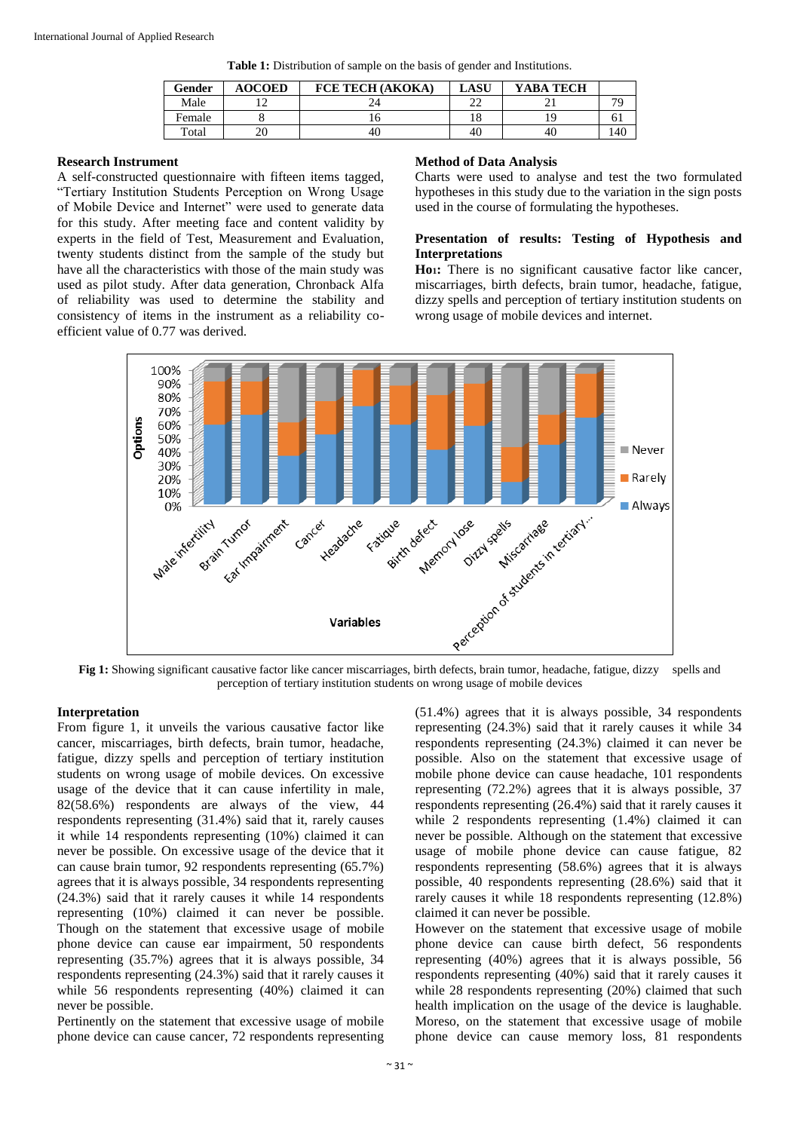| Gender | <b>AOCOED</b> | FCE TECH (AKOKA) | LASU | YABA TECH |     |
|--------|---------------|------------------|------|-----------|-----|
| Male   |               |                  |      |           | 70  |
| Female |               |                  | . 0  |           | 01  |
| Total  |               | 40               | 40   | 40        | .40 |

#### **Research Instrument**

A self-constructed questionnaire with fifteen items tagged, "Tertiary Institution Students Perception on Wrong Usage of Mobile Device and Internet" were used to generate data for this study. After meeting face and content validity by experts in the field of Test, Measurement and Evaluation, twenty students distinct from the sample of the study but have all the characteristics with those of the main study was used as pilot study. After data generation, Chronback Alfa of reliability was used to determine the stability and consistency of items in the instrument as a reliability coefficient value of 0.77 was derived.

### **Method of Data Analysis**

Charts were used to analyse and test the two formulated hypotheses in this study due to the variation in the sign posts used in the course of formulating the hypotheses.

## **Presentation of results: Testing of Hypothesis and Interpretations**

**Ho1:** There is no significant causative factor like cancer, miscarriages, birth defects, brain tumor, headache, fatigue, dizzy spells and perception of tertiary institution students on wrong usage of mobile devices and internet.



perception of tertiary institution students on wrong usage of mobile devices

# **Interpretation**

From figure 1, it unveils the various causative factor like cancer, miscarriages, birth defects, brain tumor, headache, fatigue, dizzy spells and perception of tertiary institution students on wrong usage of mobile devices. On excessive usage of the device that it can cause infertility in male, 82(58.6%) respondents are always of the view, 44 respondents representing (31.4%) said that it, rarely causes it while 14 respondents representing (10%) claimed it can never be possible. On excessive usage of the device that it can cause brain tumor, 92 respondents representing (65.7%) agrees that it is always possible, 34 respondents representing (24.3%) said that it rarely causes it while 14 respondents representing (10%) claimed it can never be possible. Though on the statement that excessive usage of mobile phone device can cause ear impairment, 50 respondents representing (35.7%) agrees that it is always possible, 34 respondents representing (24.3%) said that it rarely causes it while 56 respondents representing (40%) claimed it can never be possible.

Pertinently on the statement that excessive usage of mobile phone device can cause cancer, 72 respondents representing

(51.4%) agrees that it is always possible, 34 respondents representing (24.3%) said that it rarely causes it while 34 respondents representing (24.3%) claimed it can never be possible. Also on the statement that excessive usage of mobile phone device can cause headache, 101 respondents representing (72.2%) agrees that it is always possible, 37 respondents representing (26.4%) said that it rarely causes it while 2 respondents representing (1.4%) claimed it can never be possible. Although on the statement that excessive usage of mobile phone device can cause fatigue, 82 respondents representing (58.6%) agrees that it is always possible, 40 respondents representing (28.6%) said that it rarely causes it while 18 respondents representing (12.8%) claimed it can never be possible.

However on the statement that excessive usage of mobile phone device can cause birth defect, 56 respondents representing (40%) agrees that it is always possible, 56 respondents representing (40%) said that it rarely causes it while 28 respondents representing (20%) claimed that such health implication on the usage of the device is laughable. Moreso, on the statement that excessive usage of mobile phone device can cause memory loss, 81 respondents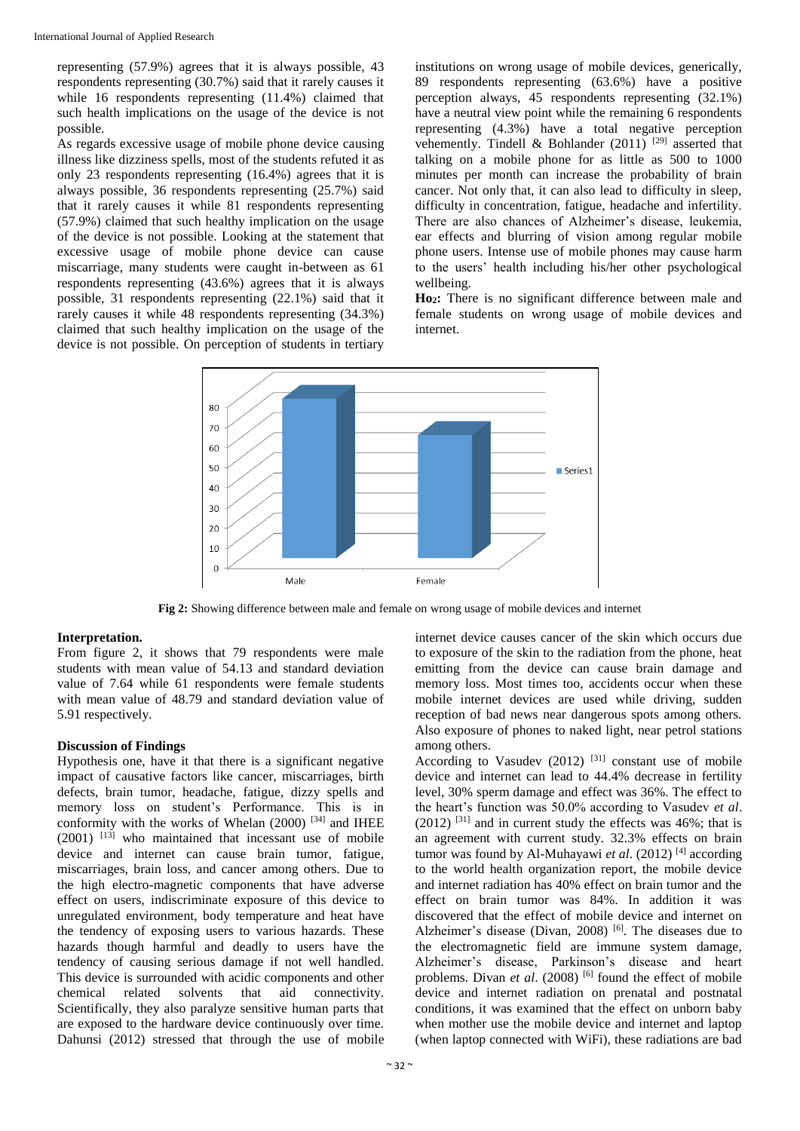representing (57.9%) agrees that it is always possible, 43 respondents representing (30.7%) said that it rarely causes it while 16 respondents representing (11.4%) claimed that such health implications on the usage of the device is not possible.

As regards excessive usage of mobile phone device causing illness like dizziness spells, most of the students refuted it as only 23 respondents representing (16.4%) agrees that it is always possible, 36 respondents representing (25.7%) said that it rarely causes it while 81 respondents representing (57.9%) claimed that such healthy implication on the usage of the device is not possible. Looking at the statement that excessive usage of mobile phone device can cause miscarriage, many students were caught in-between as 61 respondents representing (43.6%) agrees that it is always possible, 31 respondents representing (22.1%) said that it rarely causes it while 48 respondents representing (34.3%) claimed that such healthy implication on the usage of the device is not possible. On perception of students in tertiary institutions on wrong usage of mobile devices, generically, 89 respondents representing (63.6%) have a positive perception always, 45 respondents representing (32.1%) have a neutral view point while the remaining 6 respondents representing (4.3%) have a total negative perception vehemently. Tindell & Bohlander (2011) <sup>[29]</sup> asserted that talking on a mobile phone for as little as 500 to 1000 minutes per month can increase the probability of brain cancer. Not only that, it can also lead to difficulty in sleep, difficulty in concentration, fatigue, headache and infertility. There are also chances of Alzheimer's disease, leukemia, ear effects and blurring of vision among regular mobile phone users. Intense use of mobile phones may cause harm to the users' health including his/her other psychological wellbeing.

**Ho2:** There is no significant difference between male and female students on wrong usage of mobile devices and internet.



**Fig 2:** Showing difference between male and female on wrong usage of mobile devices and internet

# **Interpretation.**

From figure 2, it shows that 79 respondents were male students with mean value of 54.13 and standard deviation value of 7.64 while 61 respondents were female students with mean value of 48.79 and standard deviation value of 5.91 respectively.

## **Discussion of Findings**

Hypothesis one, have it that there is a significant negative impact of causative factors like cancer, miscarriages, birth defects, brain tumor, headache, fatigue, dizzy spells and memory loss on student's Performance. This is in conformity with the works of Whelan  $(2000)$ <sup>[34]</sup> and IHEE  $(2001)$  <sup>[13]</sup> who maintained that incessant use of mobile device and internet can cause brain tumor, fatigue, miscarriages, brain loss, and cancer among others. Due to the high electro-magnetic components that have adverse effect on users, indiscriminate exposure of this device to unregulated environment, body temperature and heat have the tendency of exposing users to various hazards. These hazards though harmful and deadly to users have the tendency of causing serious damage if not well handled. This device is surrounded with acidic components and other chemical related solvents that aid connectivity. Scientifically, they also paralyze sensitive human parts that are exposed to the hardware device continuously over time. Dahunsi (2012) stressed that through the use of mobile

internet device causes cancer of the skin which occurs due to exposure of the skin to the radiation from the phone, heat emitting from the device can cause brain damage and memory loss. Most times too, accidents occur when these mobile internet devices are used while driving, sudden reception of bad news near dangerous spots among others. Also exposure of phones to naked light, near petrol stations among others.

According to Vasudev  $(2012)$ <sup>[31]</sup> constant use of mobile device and internet can lead to 44.4% decrease in fertility level, 30% sperm damage and effect was 36%. The effect to the heart's function was 50.0% according to Vasudev *et al*.  $(2012)$ <sup>[31]</sup> and in current study the effects was 46%; that is an agreement with current study. 32.3% effects on brain tumor was found by Al-Muhayawi et al. (2012)<sup>[4]</sup> according to the world health organization report, the mobile device and internet radiation has 40% effect on brain tumor and the effect on brain tumor was 84%. In addition it was discovered that the effect of mobile device and internet on Alzheimer's disease (Divan, 2008)<sup>[6]</sup>. The diseases due to the electromagnetic field are immune system damage, Alzheimer's disease, Parkinson's disease and heart problems. Divan *et al.* (2008)<sup>[6]</sup> found the effect of mobile device and internet radiation on prenatal and postnatal conditions, it was examined that the effect on unborn baby when mother use the mobile device and internet and laptop (when laptop connected with WiFi), these radiations are bad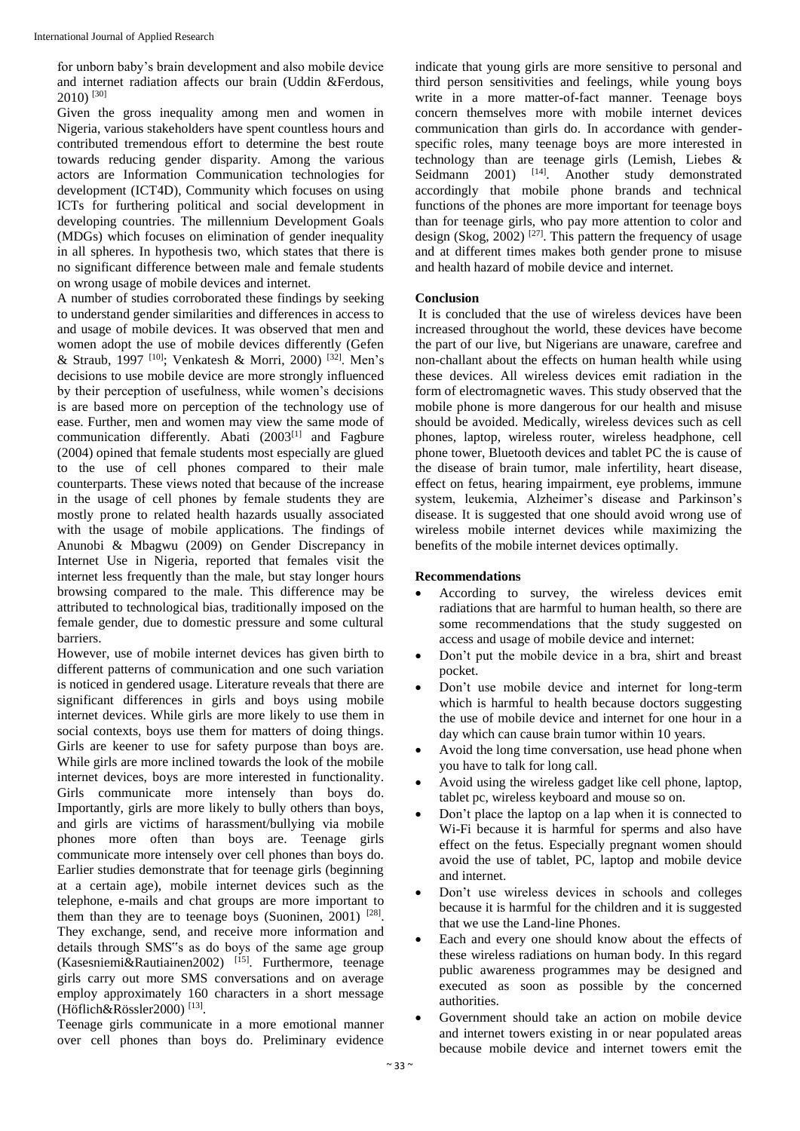for unborn baby's brain development and also mobile device and internet radiation affects our brain (Uddin &Ferdous,  $2010$ ) [30]

Given the gross inequality among men and women in Nigeria, various stakeholders have spent countless hours and contributed tremendous effort to determine the best route towards reducing gender disparity. Among the various actors are Information Communication technologies for development (ICT4D), Community which focuses on using ICTs for furthering political and social development in developing countries. The millennium Development Goals (MDGs) which focuses on elimination of gender inequality in all spheres. In hypothesis two, which states that there is no significant difference between male and female students on wrong usage of mobile devices and internet.

A number of studies corroborated these findings by seeking to understand gender similarities and differences in access to and usage of mobile devices. It was observed that men and women adopt the use of mobile devices differently (Gefen & Straub, 1997 [10] ; Venkatesh & Morri, 2000) [32] . Men's decisions to use mobile device are more strongly influenced by their perception of usefulness, while women's decisions is are based more on perception of the technology use of ease. Further, men and women may view the same mode of communication differently. Abati (2003<sup>[1]</sup> and Fagbure (2004) opined that female students most especially are glued to the use of cell phones compared to their male counterparts. These views noted that because of the increase in the usage of cell phones by female students they are mostly prone to related health hazards usually associated with the usage of mobile applications. The findings of Anunobi & Mbagwu (2009) on Gender Discrepancy in Internet Use in Nigeria, reported that females visit the internet less frequently than the male, but stay longer hours browsing compared to the male. This difference may be attributed to technological bias, traditionally imposed on the female gender, due to domestic pressure and some cultural barriers.

However, use of mobile internet devices has given birth to different patterns of communication and one such variation is noticed in gendered usage. Literature reveals that there are significant differences in girls and boys using mobile internet devices. While girls are more likely to use them in social contexts, boys use them for matters of doing things. Girls are keener to use for safety purpose than boys are. While girls are more inclined towards the look of the mobile internet devices, boys are more interested in functionality. Girls communicate more intensely than boys do. Importantly, girls are more likely to bully others than boys, and girls are victims of harassment/bullying via mobile phones more often than boys are. Teenage girls communicate more intensely over cell phones than boys do. Earlier studies demonstrate that for teenage girls (beginning at a certain age), mobile internet devices such as the telephone, e-mails and chat groups are more important to them than they are to teenage boys (Suoninen, 2001)  $^{[28]}$ . They exchange, send, and receive more information and details through SMS"s as do boys of the same age group (Kasesniemi&Rautiainen2002)<sup>[15]</sup>. Furthermore, teenage girls carry out more SMS conversations and on average employ approximately 160 characters in a short message (Höflich&Rössler2000)<sup>[13]</sup>.

Teenage girls communicate in a more emotional manner over cell phones than boys do. Preliminary evidence

indicate that young girls are more sensitive to personal and third person sensitivities and feelings, while young boys write in a more matter-of-fact manner. Teenage boys concern themselves more with mobile internet devices communication than girls do. In accordance with genderspecific roles, many teenage boys are more interested in technology than are teenage girls (Lemish, Liebes & Seidmann 2001) <sup>[14]</sup>. Another study demonstrated accordingly that mobile phone brands and technical functions of the phones are more important for teenage boys than for teenage girls, who pay more attention to color and design (Skog, 2002)<sup>[27]</sup>. This pattern the frequency of usage and at different times makes both gender prone to misuse and health hazard of mobile device and internet.

## **Conclusion**

It is concluded that the use of wireless devices have been increased throughout the world, these devices have become the part of our live, but Nigerians are unaware, carefree and non-challant about the effects on human health while using these devices. All wireless devices emit radiation in the form of electromagnetic waves. This study observed that the mobile phone is more dangerous for our health and misuse should be avoided. Medically, wireless devices such as cell phones, laptop, wireless router, wireless headphone, cell phone tower, Bluetooth devices and tablet PC the is cause of the disease of brain tumor, male infertility, heart disease, effect on fetus, hearing impairment, eye problems, immune system, leukemia, Alzheimer's disease and Parkinson's disease. It is suggested that one should avoid wrong use of wireless mobile internet devices while maximizing the benefits of the mobile internet devices optimally.

## **Recommendations**

- According to survey, the wireless devices emit radiations that are harmful to human health, so there are some recommendations that the study suggested on access and usage of mobile device and internet:
- Don't put the mobile device in a bra, shirt and breast pocket.
- Don't use mobile device and internet for long-term which is harmful to health because doctors suggesting the use of mobile device and internet for one hour in a day which can cause brain tumor within 10 years.
- Avoid the long time conversation, use head phone when you have to talk for long call.
- Avoid using the wireless gadget like cell phone, laptop, tablet pc, wireless keyboard and mouse so on.
- Don't place the laptop on a lap when it is connected to Wi-Fi because it is harmful for sperms and also have effect on the fetus. Especially pregnant women should avoid the use of tablet, PC, laptop and mobile device and internet.
- Don't use wireless devices in schools and colleges because it is harmful for the children and it is suggested that we use the Land-line Phones.
- Each and every one should know about the effects of these wireless radiations on human body. In this regard public awareness programmes may be designed and executed as soon as possible by the concerned authorities.
- Government should take an action on mobile device and internet towers existing in or near populated areas because mobile device and internet towers emit the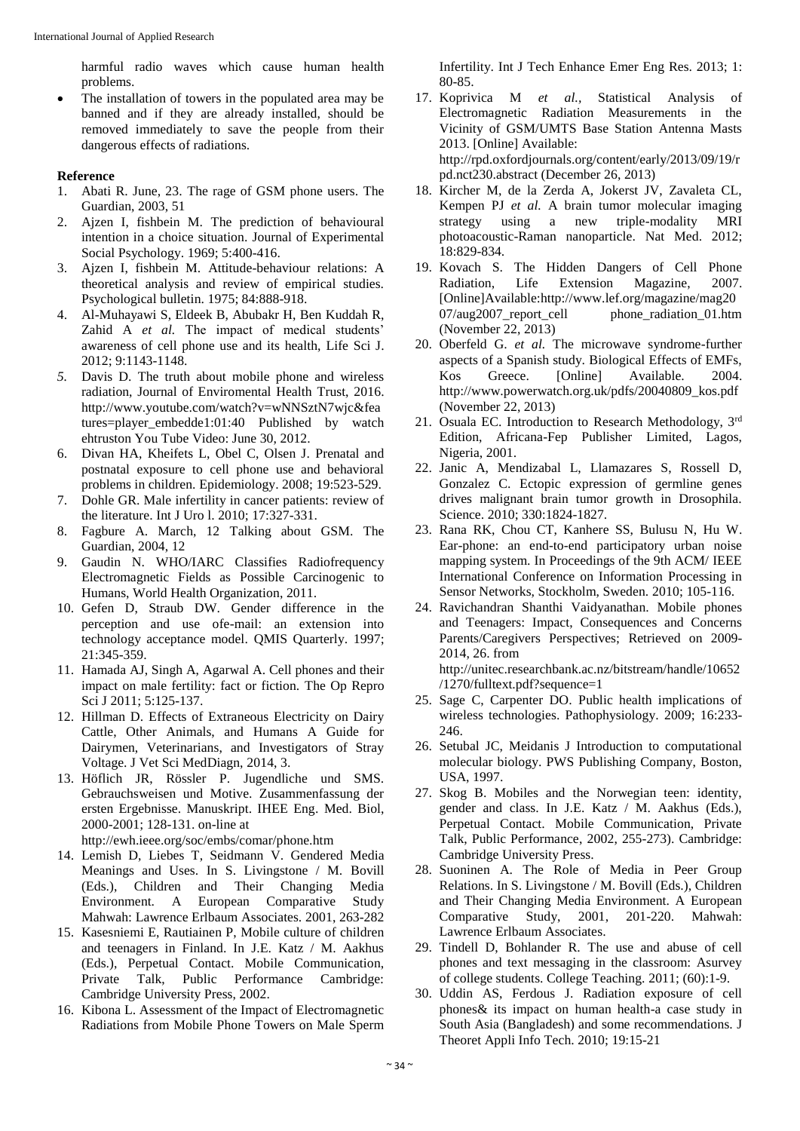harmful radio waves which cause human health problems.

• The installation of towers in the populated area may be banned and if they are already installed, should be removed immediately to save the people from their dangerous effects of radiations.

## **Reference**

- 1. Abati R. June, 23. The rage of GSM phone users. The Guardian, 2003, 51
- 2. Ajzen I, fishbein M. The prediction of behavioural intention in a choice situation. Journal of Experimental Social Psychology. 1969; 5:400-416.
- 3. Ajzen I, fishbein M. Attitude-behaviour relations: A theoretical analysis and review of empirical studies. Psychological bulletin. 1975; 84:888-918.
- 4. Al-Muhayawi S, Eldeek B, Abubakr H, Ben Kuddah R, Zahid A *et al.* The impact of medical students' awareness of cell phone use and its health, Life Sci J. 2012; 9:1143-1148.
- *5.* Davis D. The truth about mobile phone and wireless radiation, Journal of Enviromental Health Trust, 2016. http://www.youtube.com/watch?v=wNNSztN7wjc&fea tures=player\_embedde1:01:40 Published by watch ehtruston You Tube Video: June 30, 2012.
- 6. Divan HA, Kheifets L, Obel C, Olsen J. Prenatal and postnatal exposure to cell phone use and behavioral problems in children. Epidemiology. 2008; 19:523-529.
- 7. Dohle GR. Male infertility in cancer patients: review of the literature. Int J Uro l. 2010; 17:327-331.
- 8. Fagbure A. March, 12 Talking about GSM. The Guardian, 2004, 12
- 9. Gaudin N. WHO/IARC Classifies Radiofrequency Electromagnetic Fields as Possible Carcinogenic to Humans, World Health Organization, 2011.
- 10. Gefen D, Straub DW. Gender difference in the perception and use ofe-mail: an extension into technology acceptance model. QMIS Quarterly. 1997; 21:345-359.
- 11. Hamada AJ, Singh A, Agarwal A. Cell phones and their impact on male fertility: fact or fiction. The Op Repro Sci J 2011; 5:125-137.
- 12. Hillman D. Effects of Extraneous Electricity on Dairy Cattle, Other Animals, and Humans A Guide for Dairymen, Veterinarians, and Investigators of Stray Voltage. J Vet Sci MedDiagn, 2014, 3.
- 13. Höflich JR, Rössler P. Jugendliche und SMS. Gebrauchsweisen und Motive. Zusammenfassung der ersten Ergebnisse. Manuskript. IHEE Eng. Med. Biol, 2000-2001; 128-131. on-line at

http://ewh.ieee.org/soc/embs/comar/phone.htm

- 14. Lemish D, Liebes T, Seidmann V. Gendered Media Meanings and Uses. In S. Livingstone / M. Bovill (Eds.), Children and Their Changing Media Environment. A European Comparative Study Mahwah: Lawrence Erlbaum Associates. 2001, 263-282
- 15. Kasesniemi E, Rautiainen P, Mobile culture of children and teenagers in Finland. In J.E. Katz / M. Aakhus (Eds.), Perpetual Contact. Mobile Communication, Private Talk, Public Performance Cambridge: Cambridge University Press, 2002.
- 16. Kibona L. Assessment of the Impact of Electromagnetic Radiations from Mobile Phone Towers on Male Sperm

Infertility. Int J Tech Enhance Emer Eng Res. 2013; 1: 80-85.

- 17. Koprivica M *et al.,* Statistical Analysis of Electromagnetic Radiation Measurements in the Vicinity of GSM/UMTS Base Station Antenna Masts 2013. [Online] Available: http://rpd.oxfordjournals.org/content/early/2013/09/19/r pd.nct230.abstract (December 26, 2013)
- 18. Kircher M, de la Zerda A, Jokerst JV, Zavaleta CL, Kempen PJ *et al.* A brain tumor molecular imaging strategy using a new triple-modality MRI photoacoustic-Raman nanoparticle. Nat Med. 2012; 18:829-834.
- 19. Kovach S. The Hidden Dangers of Cell Phone Radiation, Life Extension Magazine, 2007. [Online]Available:http://www.lef.org/magazine/mag20 07/aug2007\_report\_cell phone\_radiation\_01.htm (November 22, 2013)
- 20. Oberfeld G. *et al.* The microwave syndrome-further aspects of a Spanish study. Biological Effects of EMFs, Kos Greece. [Online] Available. 2004. http://www.powerwatch.org.uk/pdfs/20040809\_kos.pdf (November 22, 2013)
- 21. Osuala EC. Introduction to Research Methodology, 3rd Edition, Africana-Fep Publisher Limited, Lagos, Nigeria, 2001.
- 22. Janic A, Mendizabal L, Llamazares S, Rossell D, Gonzalez C. Ectopic expression of germline genes drives malignant brain tumor growth in Drosophila. Science. 2010; 330:1824-1827.
- 23. Rana RK, Chou CT, Kanhere SS, Bulusu N, Hu W. Ear-phone: an end-to-end participatory urban noise mapping system. In Proceedings of the 9th ACM/ IEEE International Conference on Information Processing in Sensor Networks, Stockholm, Sweden. 2010; 105-116.
- 24. Ravichandran Shanthi Vaidyanathan. Mobile phones and Teenagers: Impact, Consequences and Concerns Parents/Caregivers Perspectives; Retrieved on 2009- 2014, 26. from http://unitec.researchbank.ac.nz/bitstream/handle/10652 /1270/fulltext.pdf?sequence=1
- 25. Sage C, Carpenter DO. Public health implications of wireless technologies. Pathophysiology. 2009; 16:233- 246.
- 26. Setubal JC, Meidanis J Introduction to computational molecular biology. PWS Publishing Company, Boston, USA, 1997.
- 27. Skog B. Mobiles and the Norwegian teen: identity, gender and class. In J.E. Katz / M. Aakhus (Eds.), Perpetual Contact. Mobile Communication, Private Talk, Public Performance, 2002, 255-273). Cambridge: Cambridge University Press.
- 28. Suoninen A. The Role of Media in Peer Group Relations. In S. Livingstone / M. Bovill (Eds.), Children and Their Changing Media Environment. A European Comparative Study, 2001, 201-220. Mahwah: Lawrence Erlbaum Associates.
- 29. Tindell D, Bohlander R. The use and abuse of cell phones and text messaging in the classroom: Asurvey of college students. College Teaching. 2011; (60):1-9.
- 30. Uddin AS, Ferdous J. Radiation exposure of cell phones& its impact on human health-a case study in South Asia (Bangladesh) and some recommendations. J Theoret Appli Info Tech. 2010; 19:15-21